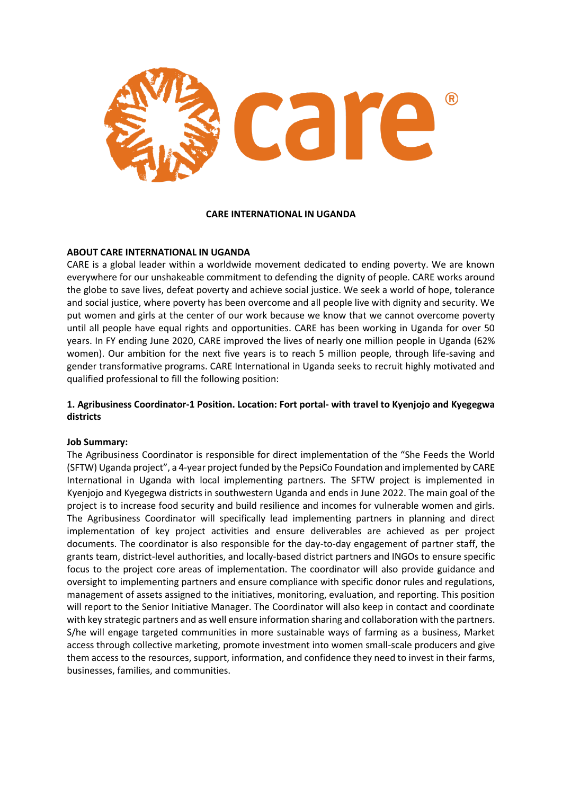

#### **CARE INTERNATIONAL IN UGANDA**

## **ABOUT CARE INTERNATIONAL IN UGANDA**

CARE is a global leader within a worldwide movement dedicated to ending poverty. We are known everywhere for our unshakeable commitment to defending the dignity of people. CARE works around the globe to save lives, defeat poverty and achieve social justice. We seek a world of hope, tolerance and social justice, where poverty has been overcome and all people live with dignity and security. We put women and girls at the center of our work because we know that we cannot overcome poverty until all people have equal rights and opportunities. CARE has been working in Uganda for over 50 years. In FY ending June 2020, CARE improved the lives of nearly one million people in Uganda (62% women). Our ambition for the next five years is to reach 5 million people, through life-saving and gender transformative programs. CARE International in Uganda seeks to recruit highly motivated and qualified professional to fill the following position:

## **1. Agribusiness Coordinator-1 Position. Location: Fort portal- with travel to Kyenjojo and Kyegegwa districts**

#### **Job Summary:**

The Agribusiness Coordinator is responsible for direct implementation of the "She Feeds the World (SFTW) Uganda project", a 4-year project funded by the PepsiCo Foundation and implemented by CARE International in Uganda with local implementing partners. The SFTW project is implemented in Kyenjojo and Kyegegwa districts in southwestern Uganda and ends in June 2022. The main goal of the project is to increase food security and build resilience and incomes for vulnerable women and girls. The Agribusiness Coordinator will specifically lead implementing partners in planning and direct implementation of key project activities and ensure deliverables are achieved as per project documents. The coordinator is also responsible for the day-to-day engagement of partner staff, the grants team, district-level authorities, and locally-based district partners and INGOs to ensure specific focus to the project core areas of implementation. The coordinator will also provide guidance and oversight to implementing partners and ensure compliance with specific donor rules and regulations, management of assets assigned to the initiatives, monitoring, evaluation, and reporting. This position will report to the Senior Initiative Manager. The Coordinator will also keep in contact and coordinate with key strategic partners and as well ensure information sharing and collaboration with the partners. S/he will engage targeted communities in more sustainable ways of farming as a business, Market access through collective marketing, promote investment into women small-scale producers and give them access to the resources, support, information, and confidence they need to invest in their farms, businesses, families, and communities.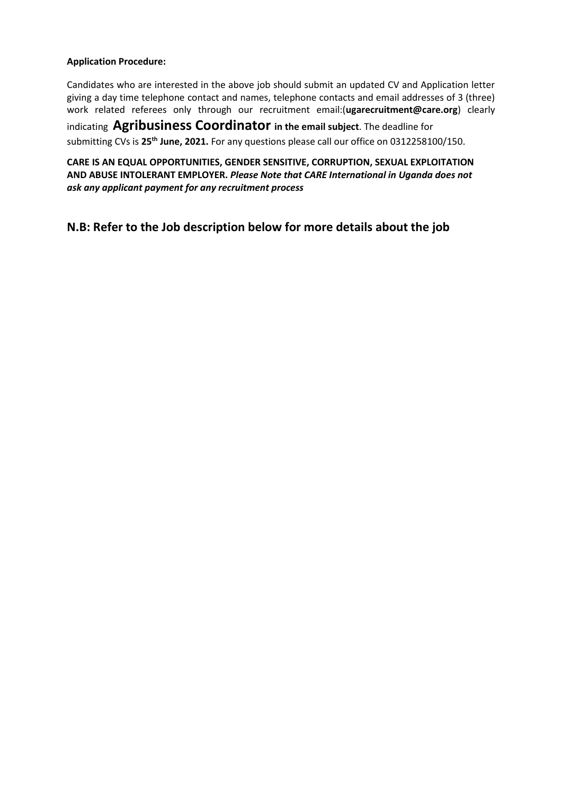## **Application Procedure:**

Candidates who are interested in the above job should submit an updated CV and Application letter giving a day time telephone contact and names, telephone contacts and email addresses of 3 (three) work related referees only through our recruitment email:(**[ugarecruitment@care.org](mailto:ugarecruitment@care.org)**) clearly indicating **Agribusiness Coordinator in the email subject**. The deadline for submitting CVs is **25th June, 2021.** For any questions please call our office on 0312258100/150.

**CARE IS AN EQUAL OPPORTUNITIES, GENDER SENSITIVE, CORRUPTION, SEXUAL EXPLOITATION AND ABUSE INTOLERANT EMPLOYER.** *Please Note that CARE International in Uganda does not ask any applicant payment for any recruitment process*

**N.B: Refer to the Job description below for more details about the job**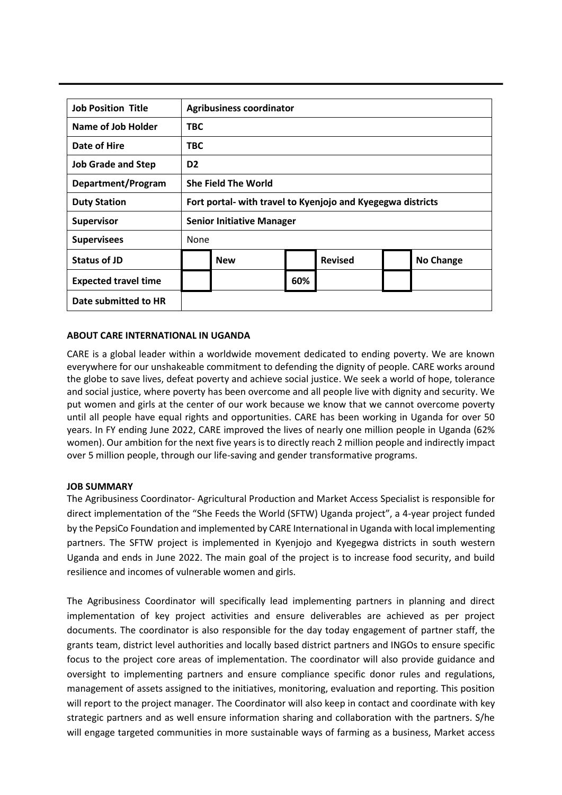| <b>Job Position Title</b>   | <b>Agribusiness coordinator</b>                             |                            |     |                |  |                  |
|-----------------------------|-------------------------------------------------------------|----------------------------|-----|----------------|--|------------------|
| Name of Job Holder          | <b>TBC</b>                                                  |                            |     |                |  |                  |
| Date of Hire                | <b>TBC</b>                                                  |                            |     |                |  |                  |
| <b>Job Grade and Step</b>   | D <sub>2</sub>                                              |                            |     |                |  |                  |
| Department/Program          |                                                             | <b>She Field The World</b> |     |                |  |                  |
| <b>Duty Station</b>         | Fort portal- with travel to Kyenjojo and Kyegegwa districts |                            |     |                |  |                  |
| <b>Supervisor</b>           | <b>Senior Initiative Manager</b>                            |                            |     |                |  |                  |
| <b>Supervisees</b>          | None                                                        |                            |     |                |  |                  |
| <b>Status of JD</b>         |                                                             | <b>New</b>                 |     | <b>Revised</b> |  | <b>No Change</b> |
| <b>Expected travel time</b> |                                                             |                            | 60% |                |  |                  |
| Date submitted to HR        |                                                             |                            |     |                |  |                  |

# **ABOUT CARE INTERNATIONAL IN UGANDA**

CARE is a global leader within a worldwide movement dedicated to ending poverty. We are known everywhere for our unshakeable commitment to defending the dignity of people. CARE works around the globe to save lives, defeat poverty and achieve social justice. We seek a world of hope, tolerance and social justice, where poverty has been overcome and all people live with dignity and security. We put women and girls at the center of our work because we know that we cannot overcome poverty until all people have equal rights and opportunities. CARE has been working in Uganda for over 50 years. In FY ending June 2022, CARE improved the lives of nearly one million people in Uganda (62% women). Our ambition for the next five years is to directly reach 2 million people and indirectly impact over 5 million people, through our life-saving and gender transformative programs.

## **JOB SUMMARY**

The Agribusiness Coordinator- Agricultural Production and Market Access Specialist is responsible for direct implementation of the "She Feeds the World (SFTW) Uganda project", a 4-year project funded by the PepsiCo Foundation and implemented by CARE International in Uganda with local implementing partners. The SFTW project is implemented in Kyenjojo and Kyegegwa districts in south western Uganda and ends in June 2022. The main goal of the project is to increase food security, and build resilience and incomes of vulnerable women and girls.

The Agribusiness Coordinator will specifically lead implementing partners in planning and direct implementation of key project activities and ensure deliverables are achieved as per project documents. The coordinator is also responsible for the day today engagement of partner staff, the grants team, district level authorities and locally based district partners and INGOs to ensure specific focus to the project core areas of implementation. The coordinator will also provide guidance and oversight to implementing partners and ensure compliance specific donor rules and regulations, management of assets assigned to the initiatives, monitoring, evaluation and reporting. This position will report to the project manager. The Coordinator will also keep in contact and coordinate with key strategic partners and as well ensure information sharing and collaboration with the partners. S/he will engage targeted communities in more sustainable ways of farming as a business, Market access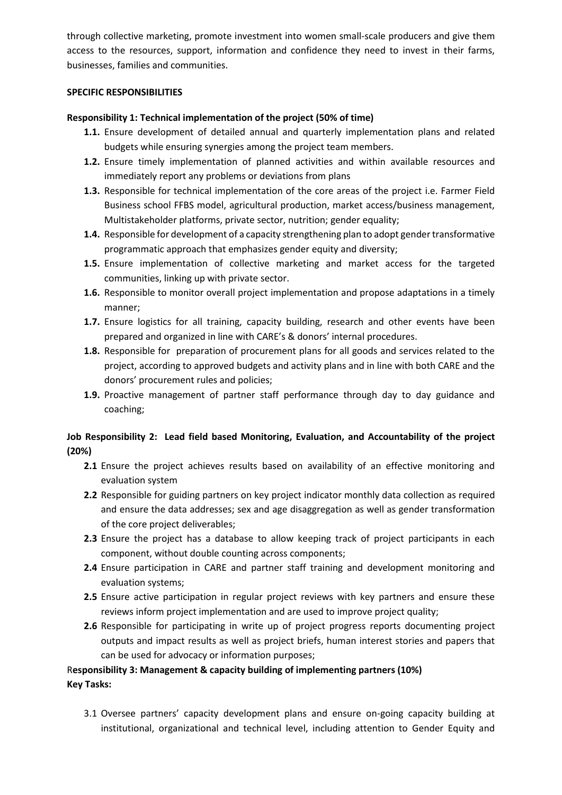through collective marketing, promote investment into women small-scale producers and give them access to the resources, support, information and confidence they need to invest in their farms, businesses, families and communities.

## **SPECIFIC RESPONSIBILITIES**

## **Responsibility 1: Technical implementation of the project (50% of time)**

- **1.1.** Ensure development of detailed annual and quarterly implementation plans and related budgets while ensuring synergies among the project team members.
- **1.2.** Ensure timely implementation of planned activities and within available resources and immediately report any problems or deviations from plans
- **1.3.** Responsible for technical implementation of the core areas of the project i.e. Farmer Field Business school FFBS model, agricultural production, market access/business management, Multistakeholder platforms, private sector, nutrition; gender equality;
- **1.4.** Responsible for development of a capacity strengthening plan to adopt gender transformative programmatic approach that emphasizes gender equity and diversity;
- **1.5.** Ensure implementation of collective marketing and market access for the targeted communities, linking up with private sector.
- **1.6.** Responsible to monitor overall project implementation and propose adaptations in a timely manner;
- **1.7.** Ensure logistics for all training, capacity building, research and other events have been prepared and organized in line with CARE's & donors' internal procedures.
- **1.8.** Responsible for preparation of procurement plans for all goods and services related to the project, according to approved budgets and activity plans and in line with both CARE and the donors' procurement rules and policies;
- **1.9.** Proactive management of partner staff performance through day to day guidance and coaching;

# **Job Responsibility 2: Lead field based Monitoring, Evaluation, and Accountability of the project (20%)**

- **2.1** Ensure the project achieves results based on availability of an effective monitoring and evaluation system
- **2.2** Responsible for guiding partners on key project indicator monthly data collection as required and ensure the data addresses; sex and age disaggregation as well as gender transformation of the core project deliverables;
- **2.3** Ensure the project has a database to allow keeping track of project participants in each component, without double counting across components;
- **2.4** Ensure participation in CARE and partner staff training and development monitoring and evaluation systems;
- **2.5** Ensure active participation in regular project reviews with key partners and ensure these reviews inform project implementation and are used to improve project quality;
- **2.6** Responsible for participating in write up of project progress reports documenting project outputs and impact results as well as project briefs, human interest stories and papers that can be used for advocacy or information purposes;

# R**esponsibility 3: Management & capacity building of implementing partners (10%) Key Tasks:**

3.1 Oversee partners' capacity development plans and ensure on-going capacity building at institutional, organizational and technical level, including attention to Gender Equity and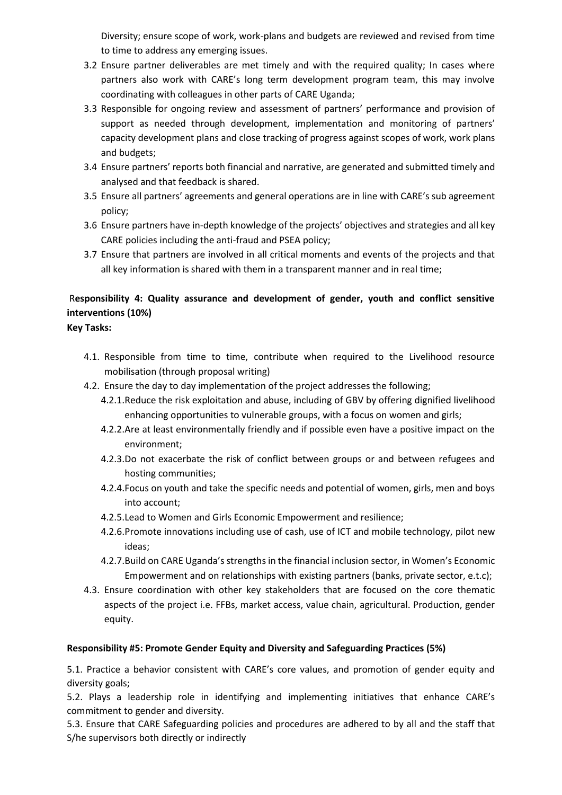Diversity; ensure scope of work, work-plans and budgets are reviewed and revised from time to time to address any emerging issues.

- 3.2 Ensure partner deliverables are met timely and with the required quality; In cases where partners also work with CARE's long term development program team, this may involve coordinating with colleagues in other parts of CARE Uganda;
- 3.3 Responsible for ongoing review and assessment of partners' performance and provision of support as needed through development, implementation and monitoring of partners' capacity development plans and close tracking of progress against scopes of work, work plans and budgets;
- 3.4 Ensure partners' reports both financial and narrative, are generated and submitted timely and analysed and that feedback is shared.
- 3.5 Ensure all partners' agreements and general operations are in line with CARE's sub agreement policy;
- 3.6 Ensure partners have in-depth knowledge of the projects' objectives and strategies and all key CARE policies including the anti-fraud and PSEA policy;
- 3.7 Ensure that partners are involved in all critical moments and events of the projects and that all key information is shared with them in a transparent manner and in real time;

# R**esponsibility 4: Quality assurance and development of gender, youth and conflict sensitive interventions (10%)**

**Key Tasks:**

- 4.1. Responsible from time to time, contribute when required to the Livelihood resource mobilisation (through proposal writing)
- 4.2. Ensure the day to day implementation of the project addresses the following;
	- 4.2.1.Reduce the risk exploitation and abuse, including of GBV by offering dignified livelihood enhancing opportunities to vulnerable groups, with a focus on women and girls;
	- 4.2.2.Are at least environmentally friendly and if possible even have a positive impact on the environment;
	- 4.2.3.Do not exacerbate the risk of conflict between groups or and between refugees and hosting communities;
	- 4.2.4.Focus on youth and take the specific needs and potential of women, girls, men and boys into account;
	- 4.2.5.Lead to Women and Girls Economic Empowerment and resilience;
	- 4.2.6.Promote innovations including use of cash, use of ICT and mobile technology, pilot new ideas;
	- 4.2.7.Build on CARE Uganda's strengths in the financial inclusion sector, in Women's Economic Empowerment and on relationships with existing partners (banks, private sector, e.t.c);
- 4.3. Ensure coordination with other key stakeholders that are focused on the core thematic aspects of the project i.e. FFBs, market access, value chain, agricultural. Production, gender equity.

# **Responsibility #5: Promote Gender Equity and Diversity and Safeguarding Practices (5%)**

5.1. Practice a behavior consistent with CARE's core values, and promotion of gender equity and diversity goals;

5.2. Plays a leadership role in identifying and implementing initiatives that enhance CARE's commitment to gender and diversity.

5.3. Ensure that CARE Safeguarding policies and procedures are adhered to by all and the staff that S/he supervisors both directly or indirectly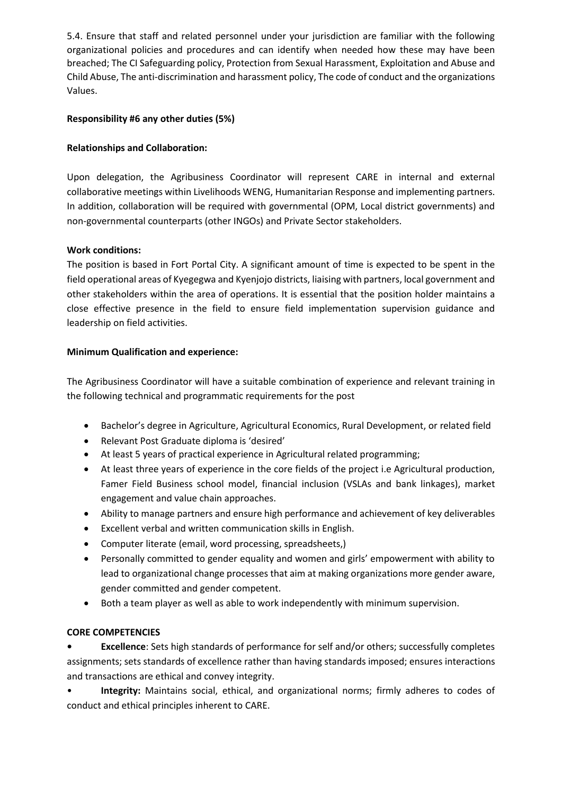5.4. Ensure that staff and related personnel under your jurisdiction are familiar with the following organizational policies and procedures and can identify when needed how these may have been breached; The CI Safeguarding policy, Protection from Sexual Harassment, Exploitation and Abuse and Child Abuse, The anti-discrimination and harassment policy, The code of conduct and the organizations Values.

# **Responsibility #6 any other duties (5%)**

# **Relationships and Collaboration:**

Upon delegation, the Agribusiness Coordinator will represent CARE in internal and external collaborative meetings within Livelihoods WENG, Humanitarian Response and implementing partners. In addition, collaboration will be required with governmental (OPM, Local district governments) and non-governmental counterparts (other INGOs) and Private Sector stakeholders.

# **Work conditions:**

The position is based in Fort Portal City. A significant amount of time is expected to be spent in the field operational areas of Kyegegwa and Kyenjojo districts, liaising with partners, local government and other stakeholders within the area of operations. It is essential that the position holder maintains a close effective presence in the field to ensure field implementation supervision guidance and leadership on field activities.

# **Minimum Qualification and experience:**

The Agribusiness Coordinator will have a suitable combination of experience and relevant training in the following technical and programmatic requirements for the post

- Bachelor's degree in Agriculture, Agricultural Economics, Rural Development, or related field
- Relevant Post Graduate diploma is 'desired'
- At least 5 years of practical experience in Agricultural related programming;
- At least three years of experience in the core fields of the project i.e Agricultural production, Famer Field Business school model, financial inclusion (VSLAs and bank linkages), market engagement and value chain approaches.
- Ability to manage partners and ensure high performance and achievement of key deliverables
- Excellent verbal and written communication skills in English.
- Computer literate (email, word processing, spreadsheets,)
- Personally committed to gender equality and women and girls' empowerment with ability to lead to organizational change processes that aim at making organizations more gender aware, gender committed and gender competent.
- Both a team player as well as able to work independently with minimum supervision.

# **CORE COMPETENCIES**

**• Excellence**: Sets high standards of performance for self and/or others; successfully completes assignments; sets standards of excellence rather than having standards imposed; ensures interactions and transactions are ethical and convey integrity.

• **Integrity:** Maintains social, ethical, and organizational norms; firmly adheres to codes of conduct and ethical principles inherent to CARE.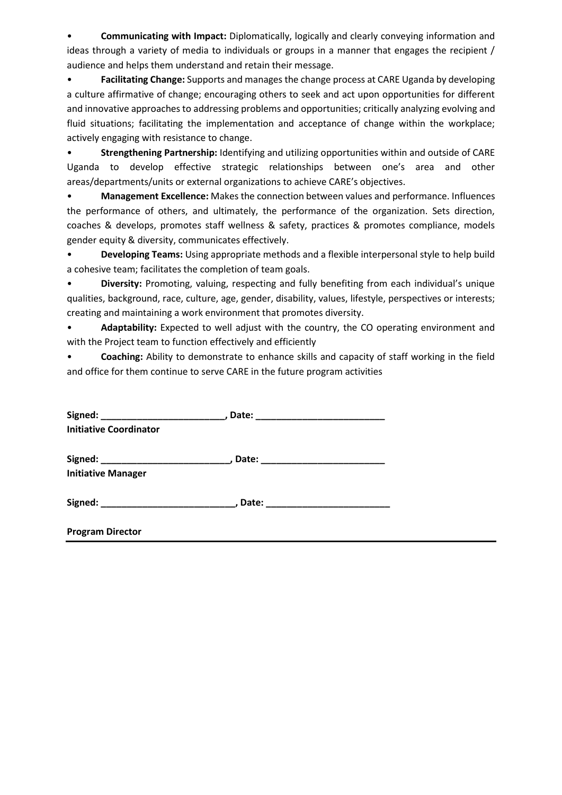• **Communicating with Impact:** Diplomatically, logically and clearly conveying information and ideas through a variety of media to individuals or groups in a manner that engages the recipient / audience and helps them understand and retain their message.

• **Facilitating Change:** Supports and manages the change process at CARE Uganda by developing a culture affirmative of change; encouraging others to seek and act upon opportunities for different and innovative approaches to addressing problems and opportunities; critically analyzing evolving and fluid situations; facilitating the implementation and acceptance of change within the workplace; actively engaging with resistance to change.

• **Strengthening Partnership:** Identifying and utilizing opportunities within and outside of CARE Uganda to develop effective strategic relationships between one's area and other areas/departments/units or external organizations to achieve CARE's objectives.

• **Management Excellence:** Makes the connection between values and performance. Influences the performance of others, and ultimately, the performance of the organization. Sets direction, coaches & develops, promotes staff wellness & safety, practices & promotes compliance, models gender equity & diversity, communicates effectively.

• **Developing Teams:** Using appropriate methods and a flexible interpersonal style to help build a cohesive team; facilitates the completion of team goals.

• **Diversity:** Promoting, valuing, respecting and fully benefiting from each individual's unique qualities, background, race, culture, age, gender, disability, values, lifestyle, perspectives or interests; creating and maintaining a work environment that promotes diversity.

• **Adaptability:** Expected to well adjust with the country, the CO operating environment and with the Project team to function effectively and efficiently

• **Coaching:** Ability to demonstrate to enhance skills and capacity of staff working in the field and office for them continue to serve CARE in the future program activities

|                               | Signed: ________________________________, Date: ________________________________ |  |
|-------------------------------|----------------------------------------------------------------------------------|--|
| <b>Initiative Coordinator</b> |                                                                                  |  |
|                               |                                                                                  |  |
|                               | Signed: ________________________________, Date: ________________________________ |  |
| <b>Initiative Manager</b>     |                                                                                  |  |
|                               |                                                                                  |  |
|                               | Signed: __________________________________, Date: ______________________________ |  |
|                               |                                                                                  |  |
| <b>Program Director</b>       |                                                                                  |  |
|                               |                                                                                  |  |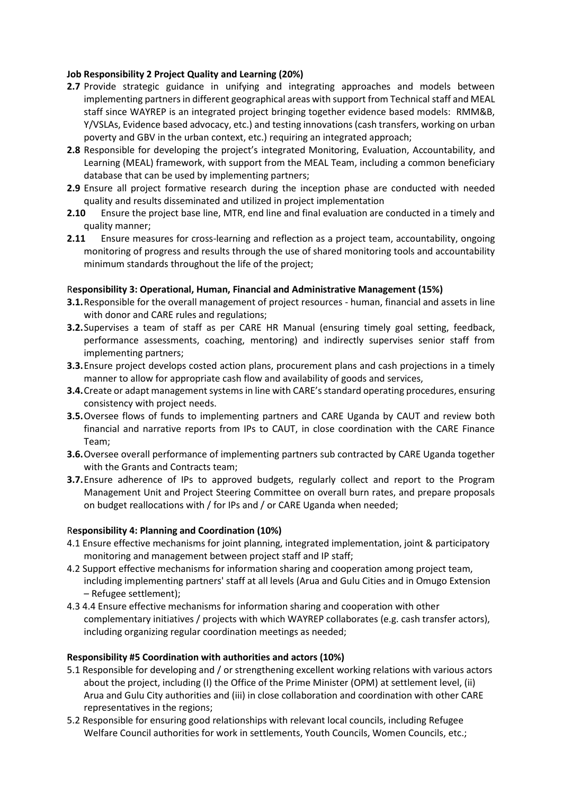# **Job Responsibility 2 Project Quality and Learning (20%)**

- **2.7** Provide strategic guidance in unifying and integrating approaches and models between implementing partners in different geographical areas with support from Technical staff and MEAL staff since WAYREP is an integrated project bringing together evidence based models: RMM&B, Y/VSLAs, Evidence based advocacy, etc.) and testing innovations (cash transfers, working on urban poverty and GBV in the urban context, etc.) requiring an integrated approach;
- **2.8** Responsible for developing the project's integrated Monitoring, Evaluation, Accountability, and Learning (MEAL) framework, with support from the MEAL Team, including a common beneficiary database that can be used by implementing partners;
- **2.9** Ensure all project formative research during the inception phase are conducted with needed quality and results disseminated and utilized in project implementation
- **2.10** Ensure the project base line, MTR, end line and final evaluation are conducted in a timely and quality manner;
- **2.11** Ensure measures for cross-learning and reflection as a project team, accountability, ongoing monitoring of progress and results through the use of shared monitoring tools and accountability minimum standards throughout the life of the project;

## R**esponsibility 3: Operational, Human, Financial and Administrative Management (15%)**

- **3.1.**Responsible for the overall management of project resources human, financial and assets in line with donor and CARE rules and regulations;
- **3.2.**Supervises a team of staff as per CARE HR Manual (ensuring timely goal setting, feedback, performance assessments, coaching, mentoring) and indirectly supervises senior staff from implementing partners;
- **3.3.**Ensure project develops costed action plans, procurement plans and cash projections in a timely manner to allow for appropriate cash flow and availability of goods and services,
- **3.4.**Create or adapt management systems in line with CARE's standard operating procedures, ensuring consistency with project needs.
- **3.5.**Oversee flows of funds to implementing partners and CARE Uganda by CAUT and review both financial and narrative reports from IPs to CAUT, in close coordination with the CARE Finance Team;
- **3.6.**Oversee overall performance of implementing partners sub contracted by CARE Uganda together with the Grants and Contracts team;
- **3.7.**Ensure adherence of IPs to approved budgets, regularly collect and report to the Program Management Unit and Project Steering Committee on overall burn rates, and prepare proposals on budget reallocations with / for IPs and / or CARE Uganda when needed;

## R**esponsibility 4: Planning and Coordination (10%)**

- 4.1 Ensure effective mechanisms for joint planning, integrated implementation, joint & participatory monitoring and management between project staff and IP staff;
- 4.2 Support effective mechanisms for information sharing and cooperation among project team, including implementing partners' staff at all levels (Arua and Gulu Cities and in Omugo Extension – Refugee settlement);
- 4.3 4.4 Ensure effective mechanisms for information sharing and cooperation with other complementary initiatives / projects with which WAYREP collaborates (e.g. cash transfer actors), including organizing regular coordination meetings as needed;

## **Responsibility #5 Coordination with authorities and actors (10%)**

- 5.1 Responsible for developing and / or strengthening excellent working relations with various actors about the project, including (I) the Office of the Prime Minister (OPM) at settlement level, (ii) Arua and Gulu City authorities and (iii) in close collaboration and coordination with other CARE representatives in the regions;
- 5.2 Responsible for ensuring good relationships with relevant local councils, including Refugee Welfare Council authorities for work in settlements, Youth Councils, Women Councils, etc.;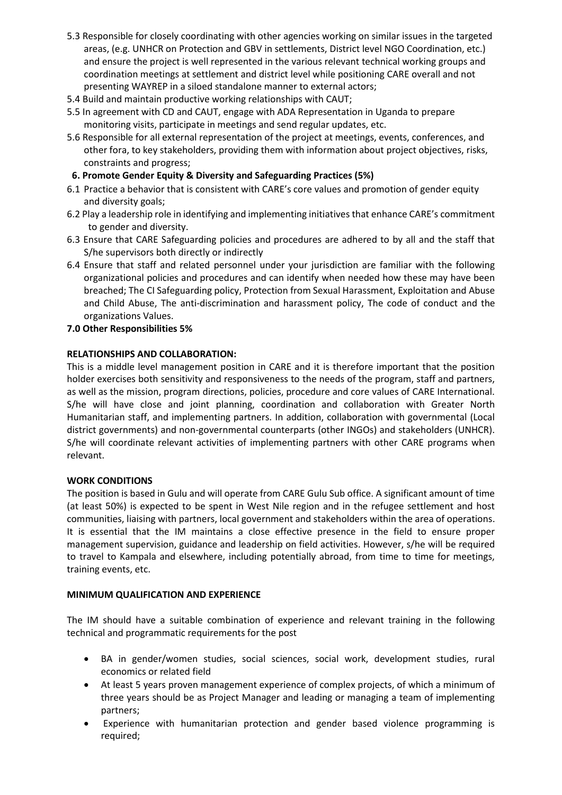- 5.3 Responsible for closely coordinating with other agencies working on similar issues in the targeted areas, (e.g. UNHCR on Protection and GBV in settlements, District level NGO Coordination, etc.) and ensure the project is well represented in the various relevant technical working groups and coordination meetings at settlement and district level while positioning CARE overall and not presenting WAYREP in a siloed standalone manner to external actors;
- 5.4 Build and maintain productive working relationships with CAUT;
- 5.5 In agreement with CD and CAUT, engage with ADA Representation in Uganda to prepare monitoring visits, participate in meetings and send regular updates, etc.
- 5.6 Responsible for all external representation of the project at meetings, events, conferences, and other fora, to key stakeholders, providing them with information about project objectives, risks, constraints and progress;
- **6. Promote Gender Equity & Diversity and Safeguarding Practices (5%)**
- 6.1 Practice a behavior that is consistent with CARE's core values and promotion of gender equity and diversity goals;
- 6.2 Play a leadership role in identifying and implementing initiatives that enhance CARE's commitment to gender and diversity.
- 6.3 Ensure that CARE Safeguarding policies and procedures are adhered to by all and the staff that S/he supervisors both directly or indirectly
- 6.4 Ensure that staff and related personnel under your jurisdiction are familiar with the following organizational policies and procedures and can identify when needed how these may have been breached; The CI Safeguarding policy, Protection from Sexual Harassment, Exploitation and Abuse and Child Abuse, The anti-discrimination and harassment policy, The code of conduct and the organizations Values.
- **7.0 Other Responsibilities 5%**

## **RELATIONSHIPS AND COLLABORATION:**

This is a middle level management position in CARE and it is therefore important that the position holder exercises both sensitivity and responsiveness to the needs of the program, staff and partners, as well as the mission, program directions, policies, procedure and core values of CARE International. S/he will have close and joint planning, coordination and collaboration with Greater North Humanitarian staff, and implementing partners. In addition, collaboration with governmental (Local district governments) and non-governmental counterparts (other INGOs) and stakeholders (UNHCR). S/he will coordinate relevant activities of implementing partners with other CARE programs when relevant.

## **WORK CONDITIONS**

The position is based in Gulu and will operate from CARE Gulu Sub office. A significant amount of time (at least 50%) is expected to be spent in West Nile region and in the refugee settlement and host communities, liaising with partners, local government and stakeholders within the area of operations. It is essential that the IM maintains a close effective presence in the field to ensure proper management supervision, guidance and leadership on field activities. However, s/he will be required to travel to Kampala and elsewhere, including potentially abroad, from time to time for meetings, training events, etc.

## **MINIMUM QUALIFICATION AND EXPERIENCE**

The IM should have a suitable combination of experience and relevant training in the following technical and programmatic requirements for the post

- BA in gender/women studies, social sciences, social work, development studies, rural economics or related field
- At least 5 years proven management experience of complex projects, of which a minimum of three years should be as Project Manager and leading or managing a team of implementing partners;
- Experience with humanitarian protection and gender based violence programming is required;